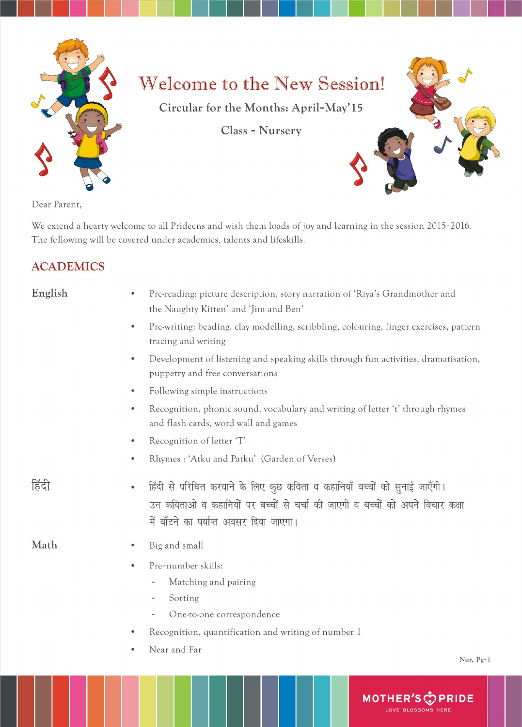

# Welcome to the New Session!

**1111111111 11111111111111** II **11111111111111** 

Circular for the Months: April-May' 15

Class - Nursery

Dear Parent,

We extend a hearty welcome to all Prideens and wish them loads of joy and learning in the session 2015-2016. The following will be covered under academics, talents and lifeskills.

## ACADEMICS

| English | Pre-reading: picture description, story narration of 'Riya's Grandmother and<br>$\bullet$                                                                                                                                                               |
|---------|---------------------------------------------------------------------------------------------------------------------------------------------------------------------------------------------------------------------------------------------------------|
|         | the Naughty Kitten' and 'Jim and Ben'                                                                                                                                                                                                                   |
|         | Pre-writing: beading, clay modelling, scribbling, colouring, finger exercises, pattern<br>$\bullet$<br>tracing and writing                                                                                                                              |
|         | Development of listening and speaking skills through fun activities, dramatisation,<br>$\bullet$<br>puppetry and free conversations                                                                                                                     |
|         | Following simple instructions<br>$\bullet$                                                                                                                                                                                                              |
|         | Recognition, phonic sound, vocabulary and writing of letter 't' through rhymes<br>$\bullet$<br>and flash cards, word wall and games                                                                                                                     |
|         | Recognition of letter 'T'<br>$\bullet$                                                                                                                                                                                                                  |
|         | Rhymes: 'Atku and Patku' (Garden of Verses)<br>$\bullet$                                                                                                                                                                                                |
| हिंदी   | हिंदी से परिचित करवाने के लिए कुछ कविता व कहानियाँ बच्चों को सुनाई जाएँगी।<br>$\bullet$<br>उन कविताओ व कहानियों पर बच्चों से चर्चा की जाएगी व बच्चों को अपने विचार कक्षा<br>में बाँटने का पर्याप्त अवसर दिया जाएगा।                                     |
| Math    | Big and small<br>$\bullet$                                                                                                                                                                                                                              |
|         | Pre-number skills:<br>$\bullet$<br>Matching and pairing<br>$\overline{\phantom{a}}$<br>Sorting<br>$\overline{\phantom{a}}$<br>One-to-one correspondence<br>$\overline{\phantom{a}}$<br>Recognition, quantification and writing of number 1<br>$\bullet$ |
|         | Near and Far<br>$\bullet$<br>Nur, Pg-1                                                                                                                                                                                                                  |
|         | <b>MOTHER</b><br><b>PRIDE</b><br><b>OVE BLOSSOMS HERE</b>                                                                                                                                                                                               |